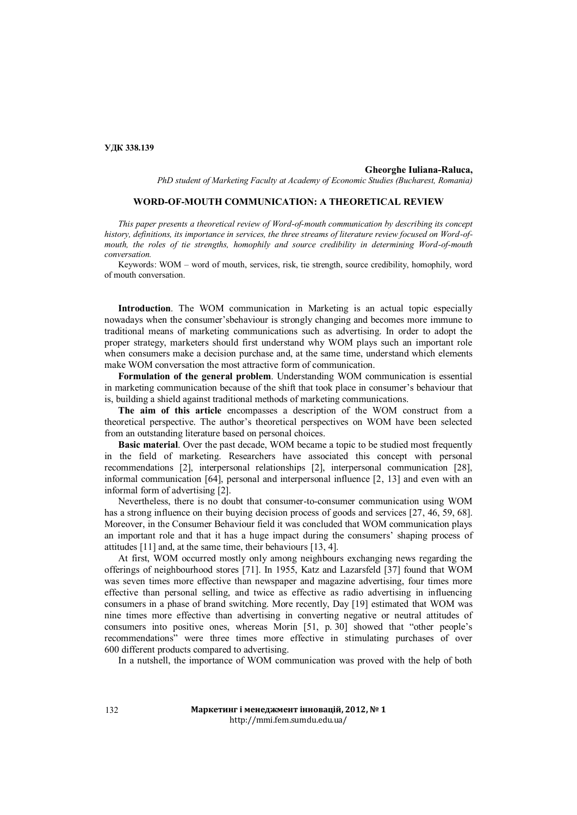# **УДК 338.139**

### **Gheorghe Iuliana-Raluca,**

*PhD student of Marketing Faculty at Academy of Economic Studies (Bucharest, Romania)*

# **WORD-OF-MOUTH COMMUNICATION: A THEORETICAL REVIEW**

*This paper presents a theoretical review of Word-of-mouth communication by describing its concept history, definitions, its importance in services, the three streams of literature review focused on Word-ofmouth, the roles of tie strengths, homophily and source credibility in determining Word-of-mouth conversation.*

Keywords: WOM – word of mouth, services, risk, tie strength, source credibility, homophily, word of mouth conversation.

**Introduction**. The WOM communication in Marketing is an actual topic especially nowadays when the consumer'sbehaviour is strongly changing and becomes more immune to traditional means of marketing communications such as advertising. In order to adopt the proper strategy, marketers should first understand why WOM plays such an important role when consumers make a decision purchase and, at the same time, understand which elements make WOM conversation the most attractive form of communication.

**Formulation of the general problem**. Understanding WOM communication is essential in marketing communication because of the shift that took place in consumer's behaviour that is, building a shield against traditional methods of marketing communications.

**The aim of this article** encompasses a description of the WOM construct from a theoretical perspective. The author's theoretical perspectives on WOM have been selected from an outstanding literature based on personal choices.

**Basic material**. Over the past decade, WOM became a topic to be studied most frequently in the field of marketing. Researchers have associated this concept with personal recommendations [2], interpersonal relationships [2], interpersonal communication [28], informal communication [64], personal and interpersonal influence [2, 13] and even with an informal form of advertising [2].

Nevertheless, there is no doubt that consumer-to-consumer communication using WOM has a strong influence on their buying decision process of goods and services [27, 46, 59, 68]. Moreover, in the Consumer Behaviour field it was concluded that WOM communication plays an important role and that it has a huge impact during the consumers' shaping process of attitudes [11] and, at the same time, their behaviours [13, 4].

At first, WOM occurred mostly only among neighbours exchanging news regarding the offerings of neighbourhood stores [71]. In 1955, Katz and Lazarsfeld [37] found that WOM was seven times more effective than newspaper and magazine advertising, four times more effective than personal selling, and twice as effective as radio advertising in influencing consumers in a phase of brand switching. More recently, Day [19] estimated that WOM was nine times more effective than advertising in converting negative or neutral attitudes of consumers into positive ones, whereas Morin [51, p. 30] showed that "other people's recommendations" were three times more effective in stimulating purchases of over 600 different products compared to advertising.

In a nutshell, the importance of WOM communication was proved with the help of both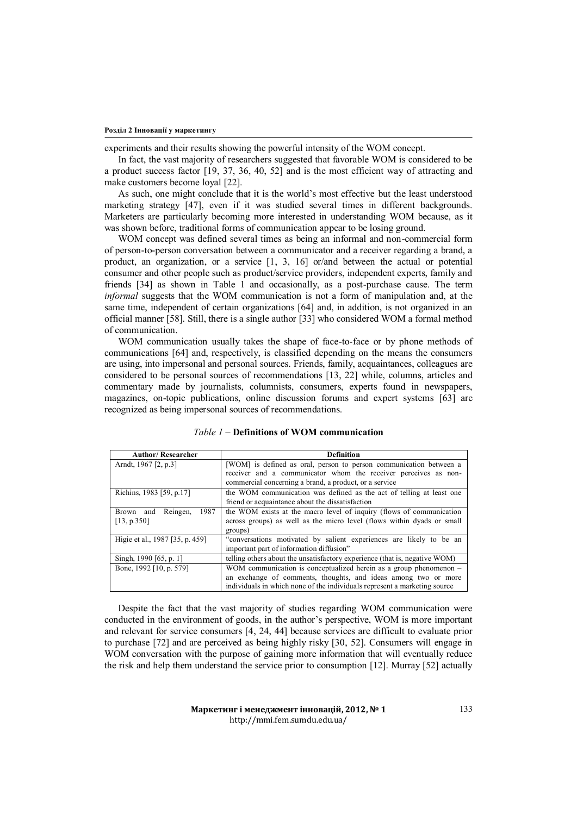experiments and their results showing the powerful intensity of the WOM concept.

In fact, the vast majority of researchers suggested that favorable WOM is considered to be a product success factor [19, 37, 36, 40, 52] and is the most efficient way of attracting and make customers become loyal [22].

As such, one might conclude that it is the world's most effective but the least understood marketing strategy [47], even if it was studied several times in different backgrounds. Marketers are particularly becoming more interested in understanding WOM because, as it was shown before, traditional forms of communication appear to be losing ground.

WOM concept was defined several times as being an informal and non-commercial form of person-to-person conversation between a communicator and a receiver regarding a brand, a product, an organization, or a service [1, 3, 16] or/and between the actual or potential consumer and other people such as product/service providers, independent experts, family and friends [34] as shown in Table 1 and occasionally, as a post-purchase cause. The term *informal* suggests that the WOM communication is not a form of manipulation and, at the same time, independent of certain organizations [64] and, in addition, is not organized in an official manner [58]. Still, there is a single author [33] who considered WOM a formal method of communication.

WOM communication usually takes the shape of face-to-face or by phone methods of communications [64] and, respectively, is classified depending on the means the consumers are using, into impersonal and personal sources. Friends, family, acquaintances, colleagues are considered to be personal sources of recommendations [13, 22] while, columns, articles and commentary made by journalists, columnists, consumers, experts found in newspapers, magazines, on-topic publications, online discussion forums and expert systems [63] are recognized as being impersonal sources of recommendations.

| <b>Author/Researcher</b>        | <b>Definition</b>                                                          |
|---------------------------------|----------------------------------------------------------------------------|
| Arndt, 1967 [2, p.3]            | [WOM] is defined as oral, person to person communication between a         |
|                                 | receiver and a communicator whom the receiver perceives as non-            |
|                                 | commercial concerning a brand, a product, or a service                     |
| Richins, 1983 [59, p.17]        | the WOM communication was defined as the act of telling at least one       |
|                                 | friend or acquaintance about the dissatisfaction                           |
| 1987<br>Reingen,<br>Brown and   | the WOM exists at the macro level of inquiry (flows of communication       |
| [13, p.350]                     | across groups) as well as the micro level (flows within dyads or small     |
|                                 | groups)                                                                    |
| Higie et al., 1987 [35, p. 459] | "conversations motivated by salient experiences are likely to be an        |
|                                 | important part of information diffusion"                                   |
| Singh, 1990 [65, p. 1]          | telling others about the unsatisfactory experience (that is, negative WOM) |
| Bone, 1992 [10, p. 579]         | WOM communication is conceptualized herein as a group phenomenon -         |
|                                 | an exchange of comments, thoughts, and ideas among two or more             |
|                                 | individuals in which none of the individuals represent a marketing source  |

| <i>Table 1</i> – Definitions of WOM communication |  |
|---------------------------------------------------|--|
|---------------------------------------------------|--|

Despite the fact that the vast majority of studies regarding WOM communication were conducted in the environment of goods, in the author's perspective, WOM is more important and relevant for service consumers [4, 24, 44] because services are difficult to evaluate prior to purchase [72] and are perceived as being highly risky [30, 52]. Consumers will engage in WOM conversation with the purpose of gaining more information that will eventually reduce the risk and help them understand the service prior to consumption [12]. Murray [52] actually

133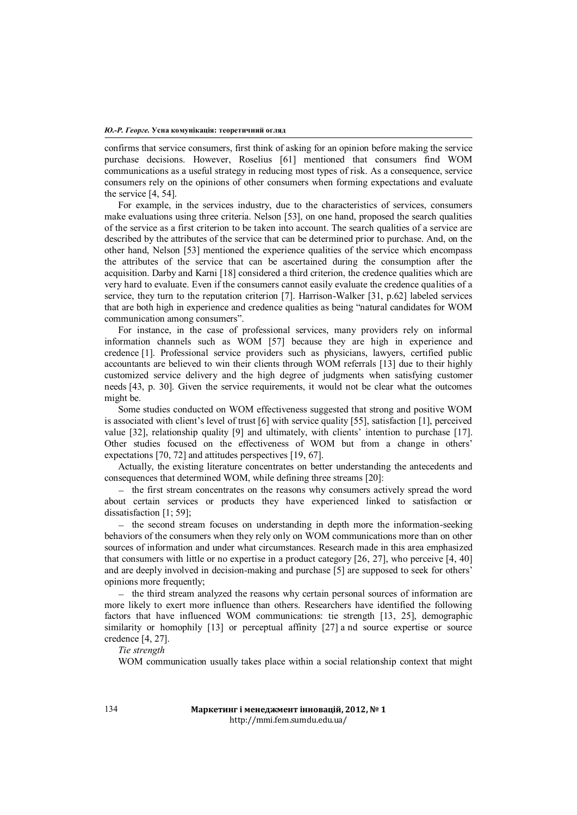confirms that service consumers, first think of asking for an opinion before making the service purchase decisions. However, Roselius [61] mentioned that consumers find WOM communications as a useful strategy in reducing most types of risk. As a consequence, service consumers rely on the opinions of other consumers when forming expectations and evaluate the service [4, 54].

For example, in the services industry, due to the characteristics of services, consumers make evaluations using three criteria. Nelson [53], on one hand, proposed the search qualities of the service as a first criterion to be taken into account. The search qualities of a service are described by the attributes of the service that can be determined prior to purchase. And, on the other hand, Nelson [53] mentioned the experience qualities of the service which encompass the attributes of the service that can be ascertained during the consumption after the acquisition. Darby and Karni [18] considered a third criterion, the credence qualities which are very hard to evaluate. Even if the consumers cannot easily evaluate the credence qualities of a service, they turn to the reputation criterion [7]. Harrison-Walker [31, p.62] labeled services that are both high in experience and credence qualities as being "natural candidates for WOM communication among consumers".

For instance, in the case of professional services, many providers rely on informal information channels such as WOM [57] because they are high in experience and credence [1]. Professional service providers such as physicians, lawyers, certified public accountants are believed to win their clients through WOM referrals [13] due to their highly customized service delivery and the high degree of judgments when satisfying customer needs [43, p. 30]. Given the service requirements, it would not be clear what the outcomes might be.

Some studies conducted on WOM effectiveness suggested that strong and positive WOM is associated with client's level of trust [6] with service quality [55], satisfaction [1], perceived value [32], relationship quality [9] and ultimately, with clients' intention to purchase [17]. Other studies focused on the effectiveness of WOM but from a change in others' expectations [70, 72] and attitudes perspectives [19, 67].

Actually, the existing literature concentrates on better understanding the antecedents and consequences that determined WOM, while defining three streams [20]:

 $-$  the first stream concentrates on the reasons why consumers actively spread the word about certain services or products they have experienced linked to satisfaction or dissatisfaction [1; 59];

- the second stream focuses on understanding in depth more the information-seeking behaviors of the consumers when they rely only on WOM communications more than on other sources of information and under what circumstances. Research made in this area emphasized that consumers with little or no expertise in a product category [26, 27], who perceive [4, 40] and are deeply involved in decision-making and purchase [5] are supposed to seek for others' opinions more frequently;

 $-$  the third stream analyzed the reasons why certain personal sources of information are more likely to exert more influence than others. Researchers have identified the following factors that have influenced WOM communications: tie strength [13, 25], demographic similarity or homophily [13] or perceptual affinity [27] a nd source expertise or source credence [4, 27].

*Tie strength* 

WOM communication usually takes place within a social relationship context that might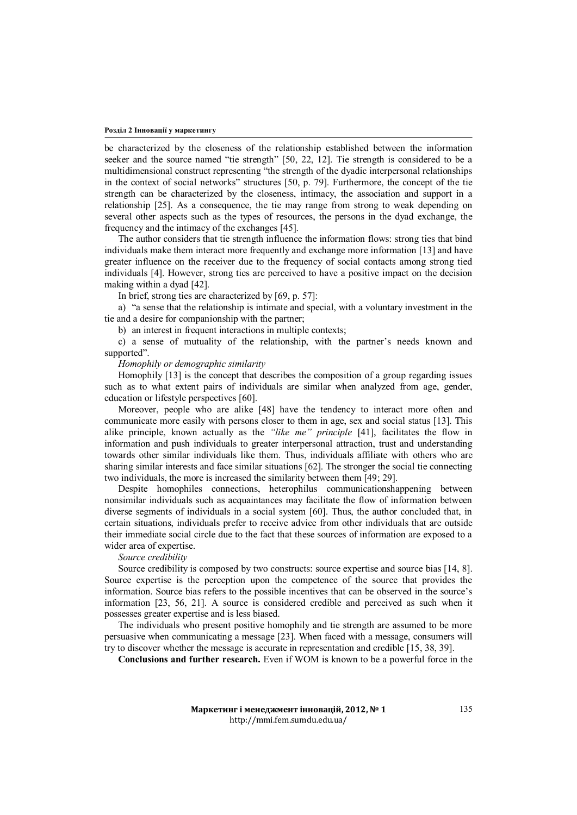be characterized by the closeness of the relationship established between the information seeker and the source named "tie strength" [50, 22, 12]. Tie strength is considered to be a multidimensional construct representing "the strength of the dyadic interpersonal relationships in the context of social networks" structures [50, p. 79]. Furthermore, the concept of the tie strength can be characterized by the closeness, intimacy, the association and support in a relationship [25]. As a consequence, the tie may range from strong to weak depending on several other aspects such as the types of resources, the persons in the dyad exchange, the frequency and the intimacy of the exchanges [45].

The author considers that tie strength influence the information flows: strong ties that bind individuals make them interact more frequently and exchange more information [13] and have greater influence on the receiver due to the frequency of social contacts among strong tied individuals [4]. However, strong ties are perceived to have a positive impact on the decision making within a dyad [42].

In brief, strong ties are characterized by [69, p. 57]:

a) "a sense that the relationship is intimate and special, with a voluntary investment in the tie and a desire for companionship with the partner;

b) an interest in frequent interactions in multiple contexts;

c) a sense of mutuality of the relationship, with the partner's needs known and supported".

*Homophily or demographic similarity* 

Homophily [13] is the concept that describes the composition of a group regarding issues such as to what extent pairs of individuals are similar when analyzed from age, gender, education or lifestyle perspectives [60].

Moreover, people who are alike [48] have the tendency to interact more often and communicate more easily with persons closer to them in age, sex and social status [13]. This alike principle, known actually as the *"like me" principle* [41], facilitates the flow in information and push individuals to greater interpersonal attraction, trust and understanding towards other similar individuals like them. Thus, individuals affiliate with others who are sharing similar interests and face similar situations [62]. The stronger the social tie connecting two individuals, the more is increased the similarity between them [49; 29].

Despite homophiles connections, heterophilus communicationshappening between nonsimilar individuals such as acquaintances may facilitate the flow of information between diverse segments of individuals in a social system [60]. Thus, the author concluded that, in certain situations, individuals prefer to receive advice from other individuals that are outside their immediate social circle due to the fact that these sources of information are exposed to a wider area of expertise.

*Source credibility*

Source credibility is composed by two constructs: source expertise and source bias [14, 8]. Source expertise is the perception upon the competence of the source that provides the information. Source bias refers to the possible incentives that can be observed in the source's information [23, 56, 21]. A source is considered credible and perceived as such when it possesses greater expertise and is less biased.

The individuals who present positive homophily and tie strength are assumed to be more persuasive when communicating a message [23]. When faced with a message, consumers will try to discover whether the message is accurate in representation and credible [15, 38, 39].

**Conclusions and further research.** Even if WOM is known to be a powerful force in the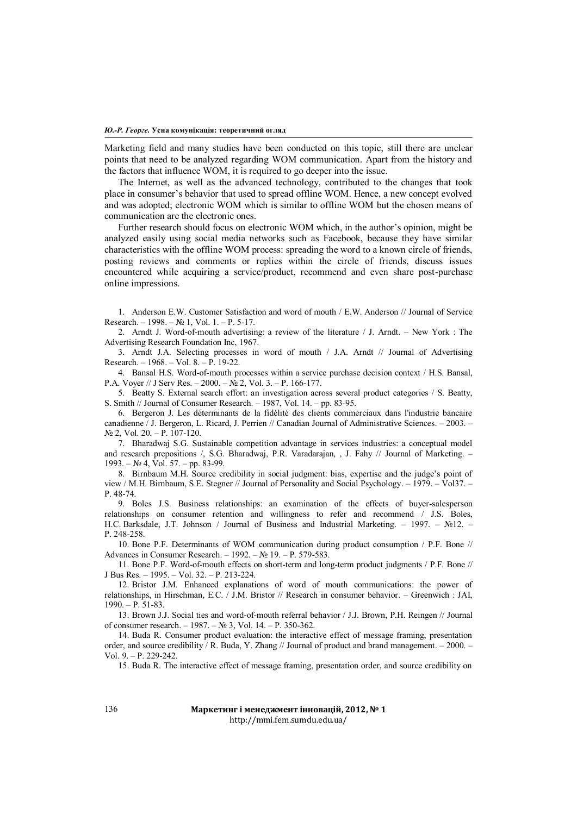Marketing field and many studies have been conducted on this topic, still there are unclear points that need to be analyzed regarding WOM communication. Apart from the history and the factors that influence WOM, it is required to go deeper into the issue.

The Internet, as well as the advanced technology, contributed to the changes that took place in consumer's behavior that used to spread offline WOM. Hence, a new concept evolved and was adopted; electronic WOM which is similar to offline WOM but the chosen means of communication are the electronic ones.

Further research should focus on electronic WOM which, in the author's opinion, might be analyzed easily using social media networks such as Facebook, because they have similar characteristics with the offline WOM process: spreading the word to a known circle of friends, posting reviews and comments or replies within the circle of friends, discuss issues encountered while acquiring a service/product, recommend and even share post-purchase online impressions.

1. Anderson E.W. Customer Satisfaction and word of mouth / E.W. Anderson // Journal of Service Research. – 1998. – № 1, Vol. 1. – Р. 5-17.

2. Arndt J. Word-of-mouth advertising: a review of the literature / J. Arndt. – New York : The Advertising Research Foundation Inc, 1967.

3. Arndt J.A. Selecting processes in word of mouth / J.A. Arndt // Journal of Advertising Research. – 1968. – Vol. 8. – Р. 19-22.

4. Bansal H.S. Word-of-mouth processes within a service purchase decision context / H.S. Bansal, P.A. Voyer // J Serv Res. – 2000. – № 2, Vol. 3. – Р. 166-177.

5. Beatty S. External search effort: an investigation across several product categories / S. Beatty, S. Smith // Journal of Consumer Research. – 1987, Vol. 14. – pp. 83-95.

6. Bergeron J. Les déterminants de la fidélité des clients commerciaux dans l'industrie bancaire canadienne / J. Bergeron, L. Ricard, J. Perrien // Canadian Journal of Administrative Sciences. – 2003. –  $N<sub>2</sub>$  2, Vol. 20. − Р. 107-120.

7. Bharadwaj S.G. Sustainable competition advantage in services industries: a conceptual model and research prepositions /, S.G. Bharadwaj, P.R. Varadarajan, , J. Fahy // Journal of Marketing. – 1993. – № 4, Vol. 57. – pp. 83-99.

8. Birnbaum M.H. Source credibility in social judgment: bias, expertise and the judge's point of view / M.H. Birnbaum, S.E. Stegner // Journal of Personality and Social Psychology. – 1979. – Vol37. – Р. 48-74.

9. Boles J.S. Business relationships: an examination of the effects of buyer-salesperson relationships on consumer retention and willingness to refer and recommend / J.S. Boles, H.C. Barksdale, J.T. Johnson / Journal of Business and Industrial Marketing. – 1997. – №12. – Р. 248-258.

10. Bone P.F. Determinants of WOM communication during product consumption / P.F. Bone // Advances in Consumer Research. – 1992. – № 19. – Р. 579-583.

11. Bone P.F. Word-of-mouth effects on short-term and long-term product judgments / P.F. Bone // J Bus Res. – 1995. – Vol. 32. – Р. 213-224.

12. Bristor J.M. Enhanced explanations of word of mouth communications: the power of relationships, in Hirschman, E.C. / J.M. Bristor // Research in consumer behavior. – Greenwich : JAI, 1990. – Р. 51-83.

13. Brown J.J. Social ties and word-of-mouth referral behavior / J.J. Brown, P.H. Reingen // Journal of consumer research. – 1987. – № 3, Vol. 14. – Р. 350-362.

14. Buda R. Consumer product evaluation: the interactive effect of message framing, presentation order, and source credibility / R. Buda, Y. Zhang // Journal of product and brand management. – 2000. – Vol. 9. – P. 229-242.

15. Buda R. The interactive effect of message framing, presentation order, and source credibility on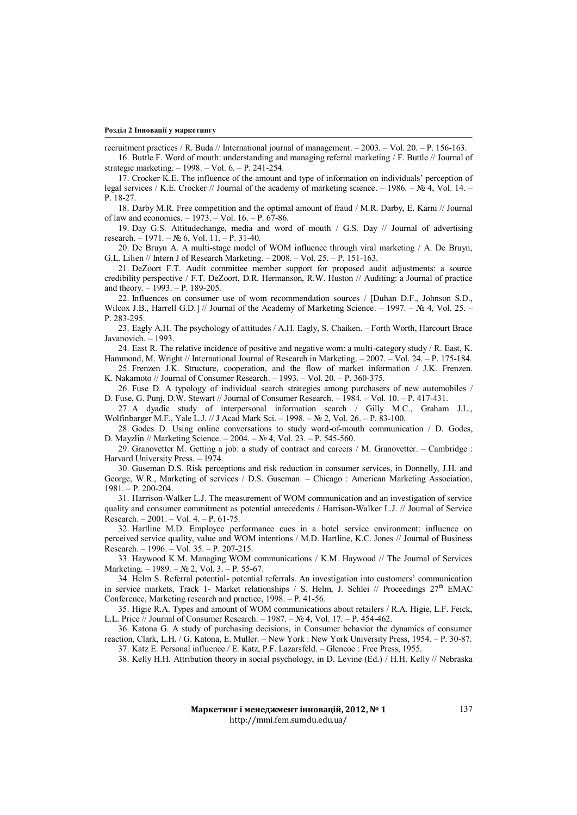recruitment practices / R. Buda // International journal of management. – 2003. – Vol. 20. – Р. 156-163.

16. Buttle F. Word of mouth: understanding and managing referral marketing / F. Buttle // Journal of strategic marketing. – 1998. – Vol. 6. – Р. 241-254.

17. Crocker K.E. The influence of the amount and type of information on individuals' perception of legal services / K.E. Crocker // Journal of the academy of marketing science. – 1986. –  $\mathbb{N}_2$  4, Vol. 14. – Р. 18-27.

18. Darby M.R. Free competition and the optimal amount of fraud / M.R. Darby, E. Karni // Journal of law and economics. – 1973. – Vol. 16. – Р. 67-86.

19. Day G.S. Attitudechange, media and word of mouth / G.S. Day // Journal of advertising research. – 1971. – № 6, Vol. 11. – Р. 31-40.

20. De Bruyn A. A multi-stage model of WOM influence through viral marketing / A. De Bruyn, G.L. Lilien // Intern J of Research Marketing. – 2008. – Vol. 25. – Р. 151-163.

21. DeZoort F.T. Audit committee member support for proposed audit adjustments: a source credibility perspective / F.T. DeZoort, D.R. Hermanson, R.W. Huston // Auditing: a Journal of practice and theory. – 1993. – Р. 189-205.

22. Influences on consumer use of wom recommendation sources / [Duhan D.F., Johnson S.D., Wilcox J.B., Harrell G.D.] // Journal of the Academy of Marketing Science. – 1997. –  $\mathcal{N}$  4, Vol. 25. – Р. 283-295.

23. Eagly A.H. The psychology of attitudes / A.H. Eagly, S. Chaiken. – Forth Worth, Harcourt Brace Javanovich. – 1993.

24. East R. The relative incidence of positive and negative wom: a multi-category study / R. East, K. Hammond, M. Wright // International Journal of Research in Marketing. – 2007. – Vol. 24. – Р. 175-184.

25. Frenzen J.K. Structure, cooperation, and the flow of market information / J.K. Frenzen. K. Nakamoto // Journal of Consumer Research. – 1993. – Vol. 20. – Р. 360-375.

26. Fuse D. A typology of individual search strategies among purchasers of new automobiles / D. Fuse, G. Punj, D.W. Stewart // Journal of Consumer Research. – 1984. – Vol. 10. – Р. 417-431.

27. A dyadic study of interpersonal information search / Gilly M.C., Graham J.L., Wolfinbarger M.F., Yale L.J. // J Acad Mark Sci. – 1998. – № 2, Vol. 26. – Р. 83-100.

28. Godes D. Using online conversations to study word-of-mouth communication / D. Godes, D. Mayzlin // Marketing Science. – 2004. – № 4, Vol. 23. – Р. 545-560.

29. Granovetter M. Getting a job: a study of contract and careers / M. Granovetter. – Cambridge : Harvard University Press. – 1974.

30. Guseman D.S. Risk perceptions and risk reduction in consumer services, in Donnelly, J.H. and George, W.R., Marketing of services / D.S. Guseman. – Chicago : American Marketing Association, 1981. – Р. 200-204.

31. Harrison-Walker L.J. The measurement of WOM communication and an investigation of service quality and consumer commitment as potential antecedents / Harrison-Walker L.J. // Journal of Service Research. – 2001. – Vol. 4. – Р. 61-75.

32. Hartline M.D. Employee performance cues in a hotel service environment: influence on perceived service quality, value and WOM intentions / M.D. Hartline, K.C. Jones // Journal of Business Research. – 1996. – Vol. 35. – Р. 207-215.

33. Haywood K.M. Managing WOM communications / K.M. Haywood // The Journal of Services Marketing. – 1989. – № 2, Vol. 3. – Р. 55-67.

34. Helm S. Referral potential- potential referrals. An investigation into customers' communication in service markets, Track 1- Market relationships / S. Helm, J. Schlei // Proceedings  $27<sup>th</sup>$  EMAC Conference, Marketing research and practice, 1998. – Р. 41-56.

35. Higie R.A. Types and amount of WOM communications about retailers / R.A. Higie, L.F. Feick, L.L. Price // Journal of Consumer Research. – 1987. – № 4, Vol. 17. – Р. 454-462.

36. Katona G. A study of purchasing decisions, in Consumer behavior the dynamics of consumer reaction, Clark, L.H. / G. Katona, E. Muller. – New York : New York University Press, 1954. – Р. 30-87.

37. Katz E. Personal influence / E. Katz, P.F. Lazarsfeld. – Glencoe : Free Press, 1955.

38. Kelly H.H. Attribution theory in social psychology, in D. Levine (Ed.) / H.H. Kelly // Nebraska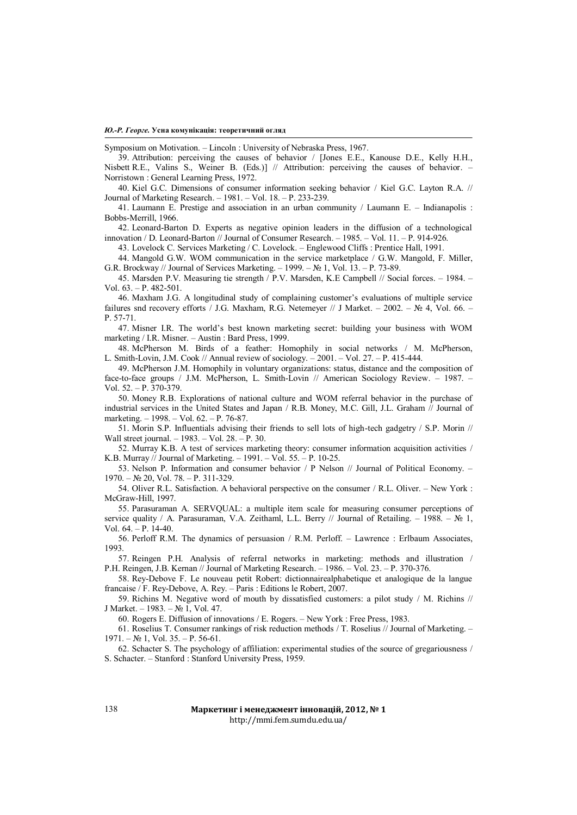#### *Ю.-Р. Георге.* **Усна комунікація: теоретичний огляд**

Symposium on Motivation. – Lincoln : University of Nebraska Press, 1967.

39. Attribution: perceiving the causes of behavior / [Jones E.E., Kanouse D.E., Kelly H.H., Nisbett R.E., Valins S., Weiner B. (Eds.)] // Attribution: perceiving the causes of behavior. – Norristown : General Learning Press, 1972.

40. Kiel G.C. Dimensions of consumer information seeking behavior / Kiel G.C. Layton R.A. // Journal of Marketing Research. – 1981. – Vol. 18. – Р. 233-239.

41. Laumann E. Prestige and association in an urban community / Laumann E. – Indianapolis : Bobbs-Merrill, 1966.

42. Leonard-Barton D. Experts as negative opinion leaders in the diffusion of a technological innovation / D. Leonard-Barton // Journal of Consumer Research. – 1985. – Vol. 11. – Р. 914-926.

43. Lovelock C. Services Marketing / C. Lovelock. – Englewood Cliffs : Prentice Hall, 1991.

44. Mangold G.W. WOM communication in the service marketplace / G.W. Mangold, F. Miller, G.R. Brockway // Journal of Services Marketing. – 1999. –  $N_2$  1, Vol. 13. – P. 73-89.

45. Marsden P.V. Measuring tie strength / P.V. Marsden, K.E Campbell // Social forces. – 1984. – Vol. 63. – Р. 482-501.

46. Maxham J.G. A longitudinal study of complaining customer's evaluations of multiple service failures snd recovery efforts / J.G. Maxham, R.G. Netemeyer // J Market. – 2002. – № 4, Vol. 66. – Р. 57-71.

47. Misner I.R. The world's best known marketing secret: building your business with WOM marketing / I.R. Misner. – Austin : Bard Press, 1999.

48. McPherson M. Birds of a feather: Homophily in social networks / M. McPherson, Smith-Lovin, J.M. Cook // Annual review of sociology.  $-2001$ .  $-$  Vol. 27.  $-$  P. 415-444.

49. McPherson J.M. Homophily in voluntary organizations: status, distance and the composition of face-to-face groups / J.M. McPherson, L. Smith-Lovin // American Sociology Review. – 1987. – Vol. 52. – Р. 370-379.

50. Money R.B. Explorations of national culture and WOM referral behavior in the purchase of industrial services in the United States and Japan / R.B. Money, M.C. Gill, J.L. Graham // Journal of marketing. – 1998. – Vol. 62. – Р. 76-87.

51. Morin S.P. Influentials advising their friends to sell lots of high-tech gadgetry / S.P. Morin // Wall street journal. – 1983. – Vol. 28. – Р. 30.

52. Murray K.B. A test of services marketing theory: consumer information acquisition activities / K.B. Murray // Journal of Marketing. – 1991. – Vol. 55. – Р. 10-25.

53. Nelson P. Information and consumer behavior / P Nelson // Journal of Political Economy. – 1970. – № 20, Vol. 78. – Р. 311-329.

54. Oliver R.L. Satisfaction. A behavioral perspective on the consumer / R.L. Oliver. – New York : McGraw-Hill, 1997.

55. Parasuraman A. SERVQUAL: a multiple item scale for measuring consumer perceptions of service quality / A. Parasuraman, V.A. Zeithaml, L.L. Berry // Journal of Retailing. – 1988. – № 1, Vol.  $64 - P$ . 14-40.

56. Perloff R.M. The dynamics of persuasion / R.M. Perloff. – Lawrence : Erlbaum Associates, 1993.

57. Reingen P.H. Analysis of referral networks in marketing: methods and illustration / P.H. Reingen, J.B. Kernan // Journal of Marketing Research. – 1986. – Vol. 23. – Р. 370-376.

58. Rey-Debove F. Le nouveau petit Robert: dictionnairealphabetique et analogique de la langue francaise / F. Rey-Debove, A. Rey. – Paris : Editions le Robert, 2007.

59. Richins M. Negative word of mouth by dissatisfied customers: a pilot study / M. Richins // J Market. – 1983. – № 1, Vol. 47.

60. Rogers E. Diffusion of innovations / E. Rogers. – New York : Free Press, 1983.

61. Roselius T. Consumer rankings of risk reduction methods / T. Roselius // Journal of Marketing. –  $1971. - N<sub>2</sub> 1$ , Vol. 35. – P. 56-61.

62. Schacter S. The psychology of affiliation: experimental studies of the source of gregariousness / S. Schacter. – Stanford : Stanford University Press, 1959.

### **Маркетинг і менеджмент інновацій, 2012, № 1** http://mmi.fem.sumdu.edu.ua/